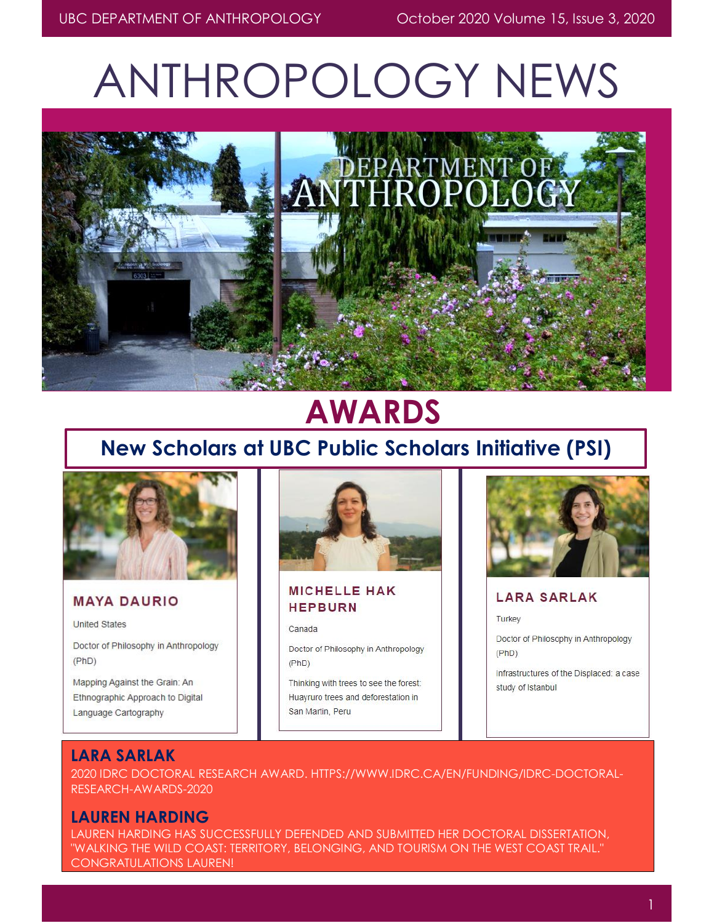# ANTHROPOLOGY NEWS



# **AWARDS**

# **New Scholars at UBC Public Scholars Initiative (PSI)**



### **MAYA DAURIO**

**United States** 

Doctor of Philosophy in Anthropology  $(PhD)$ 

Mapping Against the Grain: An Ethnographic Approach to Digital Language Cartography



**MICHELLE HAK HEPBURN** 

#### Canada

Doctor of Philosophy in Anthropology  $(PhD)$ 

Thinking with trees to see the forest: Huayruro trees and deforestation in San Martin, Peru



#### **LARA SARLAK**

Turkey

Doctor of Philosophy in Anthropology  $(PhD)$ 

Infrastructures of the Displaced: a case study of Istanbul

### **LARA SARLAK**

2020 IDRC DOCTORAL RESEARCH AWARD. [HTTPS://WWW.IDRC.CA/EN/FUNDING/IDRC-DOCTORAL-](https://www.idrc.ca/en/funding/idrc-doctoral-research-awards-2020)[RESEARCH-AWARDS-2020](https://www.idrc.ca/en/funding/idrc-doctoral-research-awards-2020)

### **LAUREN HARDING**

LAUREN HARDING HAS SUCCESSFULLY DEFENDED AND SUBMITTED HER DOCTORAL DISSERTATION, "WALKING THE WILD COAST: TERRITORY, BELONGING, AND TOURISM ON THE WEST COAST TRAIL." CONGRATULATIONS LAUREN!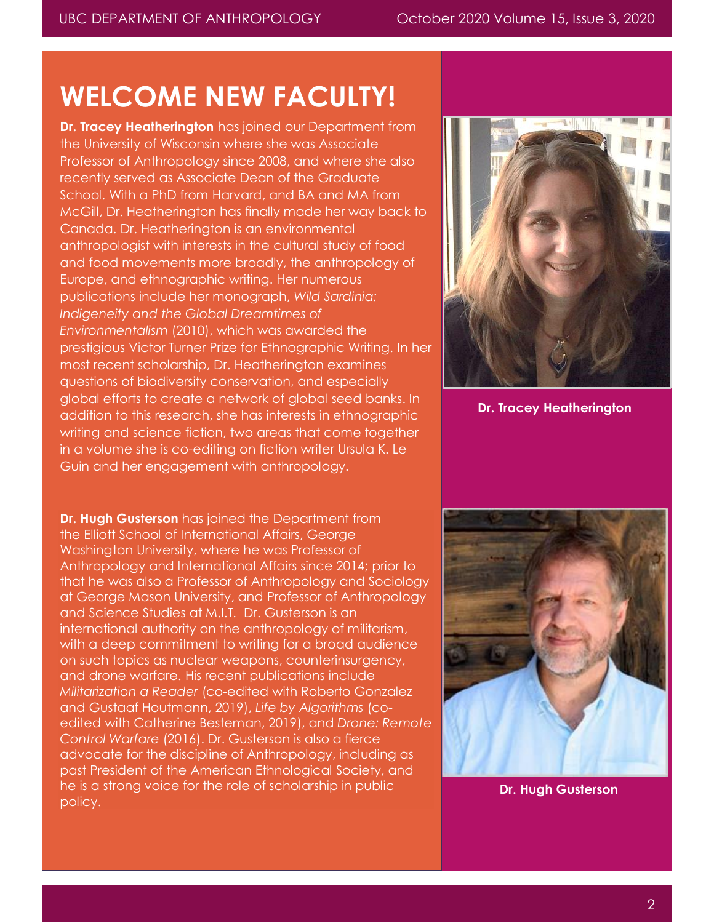# **WELCOME NEW FACULTY!**

**Dr. Tracey Heatherington** has joined our Department from the University of Wisconsin where she was Associate Professor of Anthropology since 2008, and where she also recently served as Associate Dean of the Graduate School. With a PhD from Harvard, and BA and MA from McGill, Dr. Heatherington has finally made her way back to Canada. Dr. Heatherington is an environmental anthropologist with interests in the cultural study of food and food movements more broadly, the anthropology of Europe, and ethnographic writing. Her numerous publications include her monograph, *Wild Sardinia: Indigeneity and the Global Dreamtimes of Environmentalism* (2010), which was awarded the prestigious Victor Turner Prize for Ethnographic Writing. In her most recent scholarship, Dr. Heatherington examines questions of biodiversity conservation, and especially global efforts to create a network of global seed banks. In addition to this research, she has interests in ethnographic writing and science fiction, two areas that come together in a volume she is co-editing on fiction writer Ursula K. Le Guin and her engagement with anthropology.

**Dr. Hugh Gusterson** has joined the Department from the Elliott School of International Affairs, George Washington University, where he was Professor of Anthropology and International Affairs since 2014; prior to that he was also a Professor of Anthropology and Sociology at George Mason University, and Professor of Anthropology and Science Studies at M.I.T. Dr. Gusterson is an international authority on the anthropology of militarism, with a deep commitment to writing for a broad audience on such topics as nuclear weapons, counterinsurgency, and drone warfare. His recent publications include *Militarization a Reader* (co-edited with Roberto Gonzalez and Gustaaf Houtmann, 2019), *Life by Algorithms* (coedited with Catherine Besteman, 2019), and *Drone: Remote Control Warfare* (2016). Dr. Gusterson is also a fierce advocate for the discipline of Anthropology, including as past President of the American Ethnological Society, and he is a strong voice for the role of scholarship in public policy.



**Dr. Tracey Heatherington**



**Dr. Hugh Gusterson**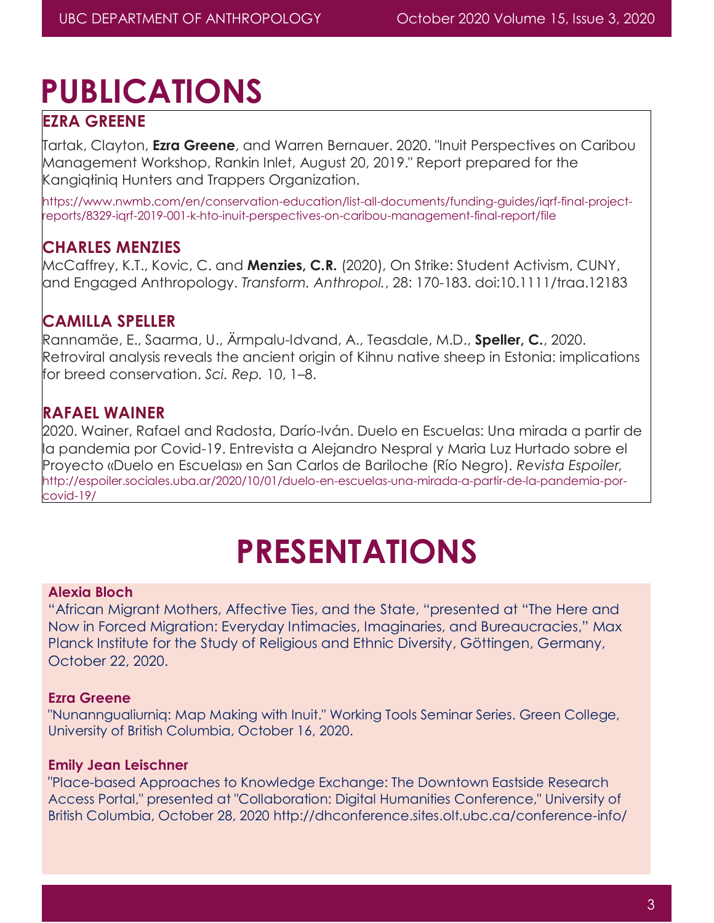# **PUBLICATIONS**

# **EZRA GREENE**

Tartak, Clayton, **Ezra Greene**, and Warren Bernauer. 2020. "Inuit Perspectives on Caribou Management Workshop, Rankin Inlet, August 20, 2019." Report prepared for the Kangiqłiniq Hunters and Trappers Organization.

https://www.nwmb.com/en/conservation-education/list-all-documents/funding-guides/iqrf-final-projectreports/8329-iqrf-2019-001-k-hto-inuit-perspectives-on-caribou-management-final-report/file

# **CHARLES MENZIES**

McCaffrey, K.T., Kovic, C. and **Menzies, C.R.** (2020), On Strike: Student Activism, CUNY, and Engaged Anthropology. *Transform. Anthropol.*, 28: 170-183. doi:10.1111/traa.12183

# **CAMILLA SPELLER**

Rannamäe, E., Saarma, U., Ärmpalu-Idvand, A., Teasdale, M.D., **Speller, C.**, 2020. Retroviral analysis reveals the ancient origin of Kihnu native sheep in Estonia: implications for breed conservation. *Sci. Rep.* 10, 1–8.

## **RAFAEL WAINER**

2020. Wainer, Rafael and Radosta, Darío-Iván. Duelo en Escuelas: Una mirada a partir de la pandemia por Covid-19. Entrevista a Alejandro Nespral y Maria Luz Hurtado sobre el Proyecto «Duelo en Escuelas» en San Carlos de Bariloche (Río Negro). *Revista Espoiler,* [http://espoiler.sociales.uba.ar/2020/10/01/duelo-en-escuelas-una-mirada-a-partir-de-la-pandemia-por](http://espoiler.sociales.uba.ar/2020/10/01/duelo-en-escuelas-una-mirada-a-partir-de-la-pandemia-por-covid-19/)[covid-19/](http://espoiler.sociales.uba.ar/2020/10/01/duelo-en-escuelas-una-mirada-a-partir-de-la-pandemia-por-covid-19/)

# **PRESENTATIONS**

### **Alexia Bloch**

"African Migrant Mothers, Affective Ties, and the State, "presented at "The Here and Now in Forced Migration: Everyday Intimacies, Imaginaries, and Bureaucracies," Max Planck Institute for the Study of Religious and Ethnic Diversity, Göttingen, Germany, October 22, 2020.

### **Ezra Greene**

"Nunanngualiurniq: Map Making with Inuit." Working Tools Seminar Series. Green College, University of British Columbia, October 16, 2020.

### **Emily Jean Leischner**

"Place-based Approaches to Knowledge Exchange: The Downtown Eastside Research Access Portal," presented at "Collaboration: Digital Humanities Conference," University of British Columbia, October 28, 2020 <http://dhconference.sites.olt.ubc.ca/conference-info/>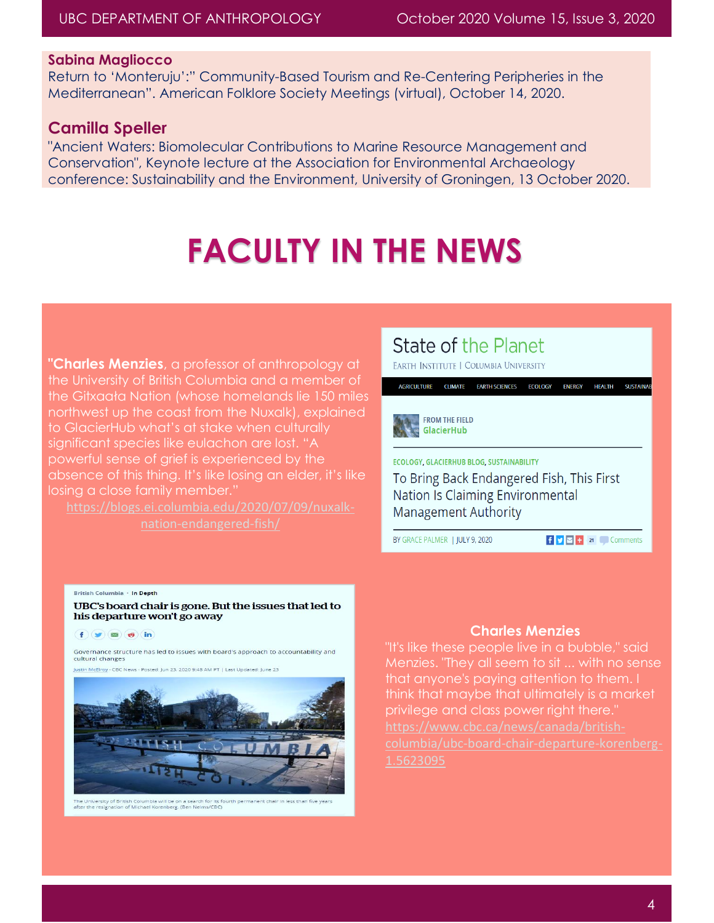#### **Sabina Magliocco**

Return to 'Monteruju':" Community-Based Tourism and Re-Centering Peripheries in the Mediterranean". American Folklore Society Meetings (virtual), October 14, 2020.

### **Camilla Speller**

"Ancient Waters: Biomolecular Contributions to Marine Resource Management and Conservation", Keynote lecture at the Association for Environmental Archaeology conference: Sustainability and the Environment, University of Groningen, 13 October 2020.

# **FACULTY IN THE NEWS**

**"Charles Menzies**, a professor of anthropology at the University of British Columbia and a member of the Gitxaała Nation (whose homelands lie 150 miles northwest up the coast from the Nuxalk), explained to GlacierHub what's at stake when culturally significant species like eulachon are lost. "A powerful sense of grief is experienced by the absence of this thing. It's like losing an elder, it's like losing a close family member."

[https://blogs.ei.columbia.edu/2020/07/09/nuxalk-](https://blogs.ei.columbia.edu/2020/07/09/nuxalk-nation-endangered-fish/)

# State of the Planet

EARTH INSTITUTE | COLUMBIA UNIVERSITY

AGRICULTURE CLIMATE EARTH SCIENCES ECOLOGY

#### **FROM THE FIELD** GlacierHub

ECOLOGY, GLACIERHUB BLOG, SUSTAINABILITY

To Bring Back Endangered Fish, This First Nation Is Claiming Environmental Management Authority

BY GRACE PALMER | JULY 9, 2020

 $\mathbf{f}$   $\mathbf{y}$   $\mathbf{z}$  + 21 Comments

ENERGY HEALTH SUSTAINA

#### British Columbia · In Depth

UBC's board chair is gone. But the issues that led to his departure won't go away

 $f(x)$  $(5)$  $(6)$ 

Governance structure has led to issues with board's approach to accountability and cultural changes

Justin McElroy - CBC News - Posted: Jun 23, 2020 9:48 AM PT | Last Updated: June 23



The University of British Columbia will be on a search for its fourth pe<br>after the resignation of Michael Korenberg. (Ben Nelms/CBC)

#### **Charles Menzies**

"It's like these people live in a bubble," said Menzies. "They all seem to sit ... with no sense that anyone's paying attention to them. I think that maybe that ultimately is a market privilege and class power right there."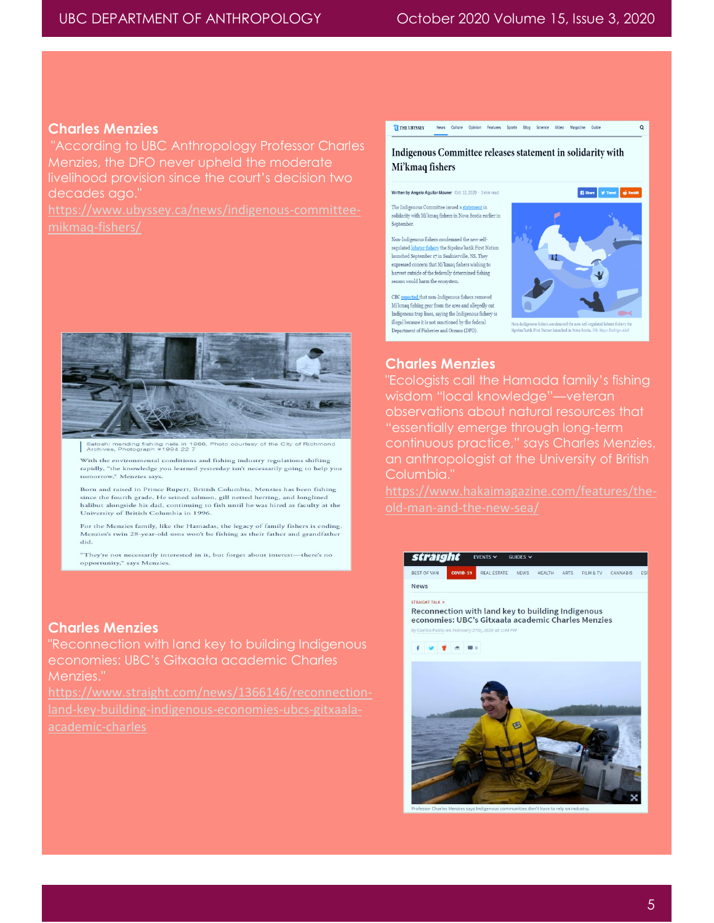#### **Charles Menzies**

"According to UBC Anthropology Professor Charles Menzies, the DFO never upheld the moderate livelihood provision since the court's decision two decades ago."

[https://www.ubyssey.ca/news/indigenous-committee-](https://www.ubyssey.ca/news/indigenous-committee-mikmaq-fishers/)



Satoshi mending fishing nets in 1966. Photo courtesy of the City of Rich Archives, Photograph #1994 22 7

With the environmental conditions and fishing industry regulations shifting rapidly, "the knowledge you learned yesterday isn't necessarily going to help you tomorrow," Menzies says.

Born and raised in Prince Rupert, British Columbia, Menzies has been fishing since the fourth grade. He seined salmon, gill netted herring, and longlined halibut alongside his dad, continuing to fish until he was hired as faculty at the University of British Columbia in 1996.

For the Menzies family, like the Hamadas, the legacy of family fishers is ending. Menzies's twin 28-year-old sons won't be fishing as their father and grandfather did.

"They're not necessarily interested in it, but forget about interest-there's no opportunity," says Menzies

#### **Charles Menzies**

"Reconnection with land key to building Indigenous economies: UBC's Gitxaała academic Charles Menzies."

Indigenous Committee releases statement in solidarity with Mi'kmaq fishers

TI THE UBYSSEY News Culture Opinion Features Sports Blog Science Video Magazine Guide

#### Written by Angelo Aquilar Maurer Oct. 12, 2020 - 3 min read

The Indigenous Committee issued a sta ent in solidarity with Mi'kmaq fishers in Nova Scotia earlier in Sentember

Non-Indigenous fishers condemned the new selfregulated lobster fishery the Sipekne'katik First Nation launched September 17 in Saulnierville, NS. They expressed concern that Mi'kmaq fishers wishing to harvest outside of the federally determined fishing season would harm the ecosystem.

CBC reported that non-Indigenous fishers removed Mi'kmaq fishing gear from the area and allegedly cut Indigenous trap lines, saying the Indigenous fishery is illegal because it is not sanctioned by the federal Department of Fisheries and Oceans (DFO).



 $\circ$ 

#### **Charles Menzies**

"Ecologists call the Hamada family's fishing wisdom "local knowledge"—veteran observations about natural resources that "essentially emerge through long-term continuous practice," says Charles Menzies, an anthropologist at the University of British Columbia."

#### straight EVENTS  $\sim$  $GUDFS$ REAL ESTATE NEWS HEALTH ARTS FILM & TV CANNABIS ESP **News CTOAICHT TALK W**

Reconnection with land key to building Indigenous economies: UBC's Gitxaala academic Charles Menzies

 $\bullet$   $\bullet$   $\bullet$ 



es says Indigenous communities don't have to rely on indus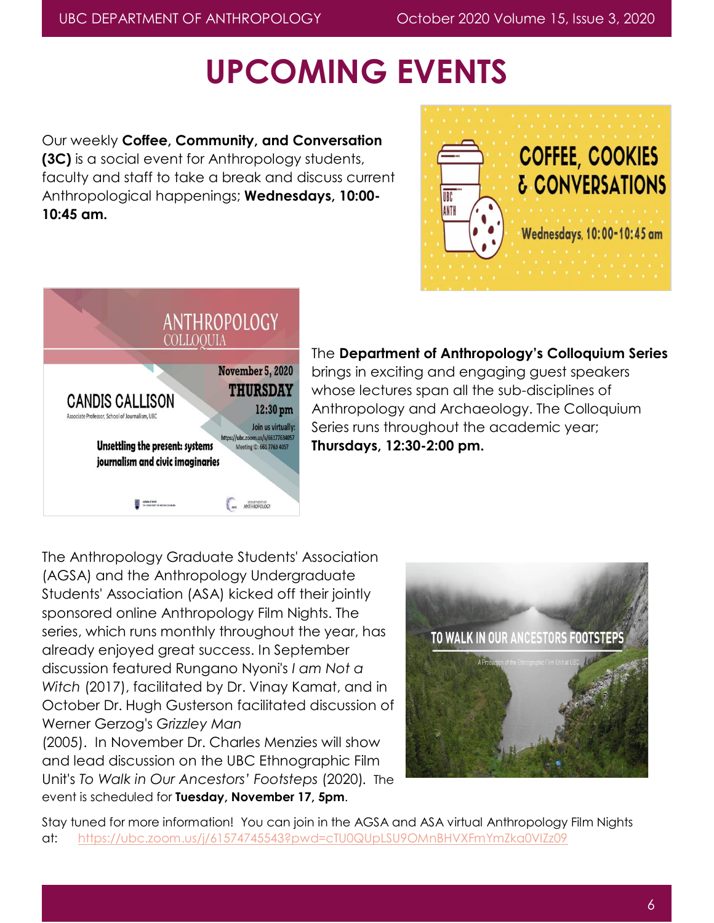# **UPCOMING EVENTS**

Our weekly **Coffee, Community, and Conversation (3C)** is a social event for Anthropology students, faculty and staff to take a break and discuss current Anthropological happenings; **Wednesdays, 10:00- 10:45 am.**





### The **Department of Anthropology's Colloquium Series**

brings in exciting and engaging guest speakers whose lectures span all the sub-disciplines of Anthropology and Archaeology. The Colloquium Series runs throughout the academic year; **Thursdays, 12:30-2:00 pm.**

The Anthropology Graduate Students' Association (AGSA) and the Anthropology Undergraduate Students' Association (ASA) kicked off their jointly sponsored online Anthropology Film Nights. The series, which runs monthly throughout the year, has already enjoyed great success. In September discussion featured Rungano Nyoni's *I am Not a Witch* (2017), facilitated by Dr. Vinay Kamat, and in October Dr. Hugh Gusterson facilitated discussion of Werner Gerzog's *Grizzley Man*

(2005). In November Dr. Charles Menzies will show and lead discussion on the UBC Ethnographic Film Unit's *To Walk in Our Ancestors' Footsteps* (2020)*.* The event is scheduled for **Tuesday, November 17, 5pm**.



Stay tuned for more information! You can join in the AGSA and ASA virtual Anthropology Film Nights at: <https://ubc.zoom.us/j/61574745543?pwd=cTU0QUpLSU9OMnBHVXFmYmZka0VIZz09>